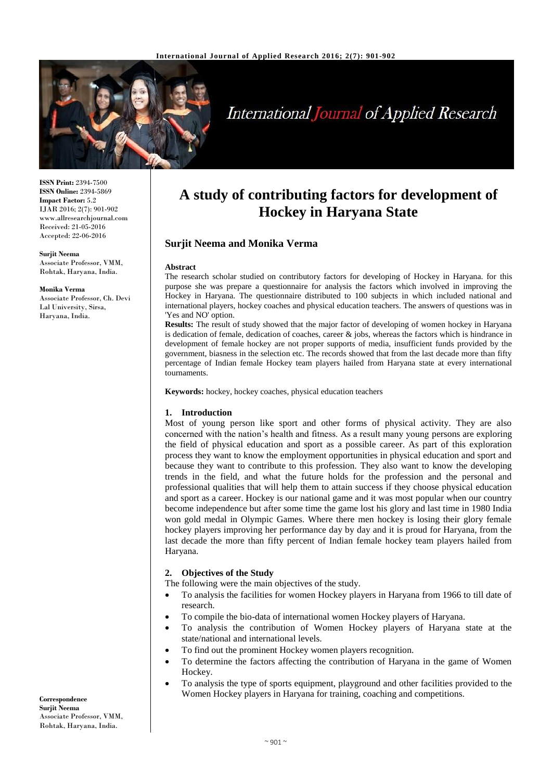

# **International Journal of Applied Research**

**ISSN Print:** 2394-7500 **ISSN Online:** 2394-5869 **Impact Factor:** 5.2 IJAR 2016; 2(7): 901-902 www.allresearchjournal.com Received: 21-05-2016 Accepted: 22-06-2016

#### **Surjit Neema**

Associate Professor, VMM, Rohtak, Haryana, India.

#### **Monika Verma**

Associate Professor, Ch. Devi Lal University, Sirsa, Haryana, India.

## **A study of contributing factors for development of Hockey in Haryana State**

## **Surjit Neema and Monika Verma**

#### **Abstract**

The research scholar studied on contributory factors for developing of Hockey in Haryana. for this purpose she was prepare a questionnaire for analysis the factors which involved in improving the Hockey in Haryana. The questionnaire distributed to 100 subjects in which included national and international players, hockey coaches and physical education teachers. The answers of questions was in 'Yes and NO' option.

**Results:** The result of study showed that the major factor of developing of women hockey in Haryana is dedication of female, dedication of coaches, career & jobs, whereas the factors which is hindrance in development of female hockey are not proper supports of media, insufficient funds provided by the government, biasness in the selection etc. The records showed that from the last decade more than fifty percentage of Indian female Hockey team players hailed from Haryana state at every international tournaments.

**Keywords:** hockey, hockey coaches, physical education teachers

#### **1. Introduction**

Most of young person like sport and other forms of physical activity. They are also concerned with the nation's health and fitness. As a result many young persons are exploring the field of physical education and sport as a possible career. As part of this exploration process they want to know the employment opportunities in physical education and sport and because they want to contribute to this profession. They also want to know the developing trends in the field, and what the future holds for the profession and the personal and professional qualities that will help them to attain success if they choose physical education and sport as a career. Hockey is our national game and it was most popular when our country become independence but after some time the game lost his glory and last time in 1980 India won gold medal in Olympic Games. Where there men hockey is losing their glory female hockey players improving her performance day by day and it is proud for Haryana, from the last decade the more than fifty percent of Indian female hockey team players hailed from Haryana.

### **2. Objectives of the Study**

The following were the main objectives of the study.

- To analysis the facilities for women Hockey players in Haryana from 1966 to till date of research.
- To compile the bio-data of international women Hockey players of Haryana.
- To analysis the contribution of Women Hockey players of Haryana state at the state/national and international levels.
- To find out the prominent Hockey women players recognition.
- To determine the factors affecting the contribution of Haryana in the game of Women Hockey.
- To analysis the type of sports equipment, playground and other facilities provided to the Women Hockey players in Haryana for training, coaching and competitions.

**Correspondence Surjit Neema** Associate Professor, VMM, Rohtak, Haryana, India.